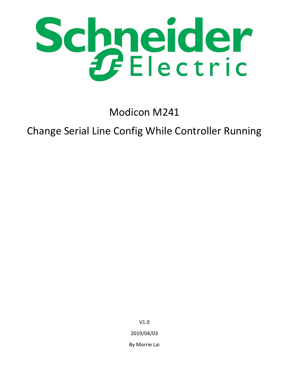

Modicon M241

# Change Serial Line Config While Controller Running

V1.0 2019/04/03 By Morrie Lai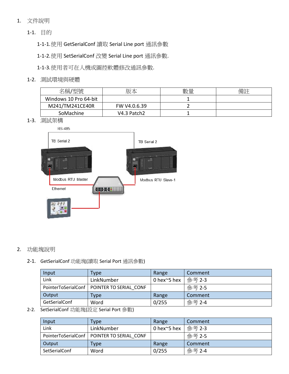- 1. 文件說明
	- 1-1. 目的
		- 1-1-1.使用 GetSerialConf 讀取 Serial Line port 通訊參數
		- 1-1-2.使用 SetSerialConf 改變 Serial Line port 通訊參數.
		- 1-1-3.使用者可在人機或圖控軟體修改通訊參數.
	- 1-2. 測試環境與硬體

| 名稱/型號                 | 版本           | 數量 | 備註 |
|-----------------------|--------------|----|----|
| Windows 10 Pro 64-bit |              |    |    |
| M241/TM241CE40R       | FW V4.0.6.39 |    |    |
| SoMachine             | V4.3 Patch2  |    |    |

1-3. 測試架構



## 2. 功能塊說明

2-1. GetSerialConf 功能塊(讀取 Serial Port 通訊參數)

| Input         | Type                                         | Range              | Comment |
|---------------|----------------------------------------------|--------------------|---------|
| Link          | LinkNumber                                   | 0 hex $\sim$ 5 hex | 參考 2-3  |
|               | PointerToSerialConf   POINTER TO SERIAL CONF |                    | 參考 2-5  |
| Output        | Type                                         | Range              | Comment |
| GetSerialConf | Word                                         | 0/255              | 參考 2-4  |

2-2. SetSerialConf 功能塊(設定 Serial Port 參數)

| Input                | Type                                         | Range              | Comment |
|----------------------|----------------------------------------------|--------------------|---------|
| Link                 | LinkNumber                                   | 0 hex $\sim$ 5 hex | 參考 2-3  |
|                      | PointerToSerialConf   POINTER TO SERIAL CONF |                    | 參考 2-5  |
| Output               | Type                                         | Range              | Comment |
| <b>SetSerialConf</b> | Word                                         | 0/255              | 參考 2-4  |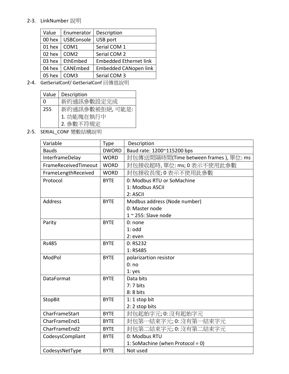# 2-3. LinkNumber 說明

| Value  | Enumerator        | Description                   |
|--------|-------------------|-------------------------------|
| 00 hex | <b>USBConsole</b> | USB port                      |
| 01 hex | COM1              | Serial COM 1                  |
| 02 hex | COM <sub>2</sub>  | Serial COM 2                  |
| 03 hex | EthEmbed          | <b>Embedded Ethernet link</b> |
| 04 hex | CANEmbed          | <b>Embedded CANopen link</b>  |
| 05 hex | COM <sub>3</sub>  | Serial COM 3                  |
|        |                   |                               |

2-4. GetSerialConf/ GetSerialConf 回傳值說明

| Value | Description                  |
|-------|------------------------------|
| O     | 新的通訊參數設定完成                   |
| 255   | 新的通訊參數被拒絕,可能是:<br>1. 功能塊在執行中 |
|       |                              |
|       | 2. 参數不符規定                    |

2-5. SERIAL\_CONF 變數結構說明

| Variable             | Type         | Description                           |
|----------------------|--------------|---------------------------------------|
| <b>Bauds</b>         | <b>DWORD</b> | Baud rate: 1200~115200 bps            |
| InterframeDelay      | <b>WORD</b>  | 封包傳送間隔時間(Time between frames), 單位: ms |
| FrameReceivedTimeout | <b>WORD</b>  | 封包接收超時,單位:ms;0表示不使用此參數                |
| FrameLengthReceived  | <b>WORD</b>  | 封包接收長度;0表示不使用此參數                      |
| Protocol             | <b>BYTE</b>  | 0: Modbus RTU or SoMachine            |
|                      |              | 1: Modbus ASCII                       |
|                      |              | 2: ASCII                              |
| <b>Address</b>       | <b>BYTE</b>  | Modbus address (Node number)          |
|                      |              | 0: Master node                        |
|                      |              | $1 \sim 255$ : Slave node             |
| Parity               | <b>BYTE</b>  | 0: none                               |
|                      |              | $1:$ odd                              |
|                      |              | $2:$ even                             |
| <b>Rs485</b>         | <b>BYTE</b>  | 0: RS232                              |
|                      |              | 1: RS485                              |
| ModPol               | <b>BYTE</b>  | polarizartion resistor                |
|                      |              | 0:no                                  |
|                      |              | 1: yes                                |
| <b>DataFormat</b>    | <b>BYTE</b>  | Data bits                             |
|                      |              | 7:7 bits                              |
|                      |              | 8: 8 bits                             |
| <b>StopBit</b>       | <b>BYTE</b>  | $1:1$ stop bit                        |
|                      |              | 2:2 stop bits                         |
| CharFrameStart       | <b>BYTE</b>  | 封包起始字元; 0: 沒有起始字元                     |
| CharFrameEnd1        | <b>BYTE</b>  | 封包第一結束字元; 0: 沒有第一結束字元                 |
| CharFrameEnd2        | <b>BYTE</b>  | 封包第二結束字元; 0: 沒有第二結束字元                 |
| CodesysCompliant     | <b>BYTE</b>  | 0: Modbus RTU                         |
|                      |              | 1: SoMachine (when Protocol = 0)      |
| CodesysNetType       | <b>BYTE</b>  | Not used                              |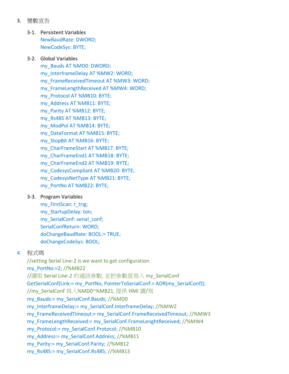- 3. 變數宣告
	- 3-1. Persistent Variables NewBaudRate: DWORD; NewCodeSys: BYTE;

#### 3-2. Global Variables

my\_Bauds AT %MD0: DWORD; my\_InterframeDelay AT %MW2: WORD; my\_FrameReceivedTimeout AT %MW3: WORD; my\_FrameLengthReceived AT %MW4: WORD; my\_Protocol AT %MB10: BYTE; my\_Address AT %MB11: BYTE; my\_Parity AT %MB12: BYTE; my\_Rs485 AT %MB13: BYTE; my\_ModPol AT %MB14: BYTE; my\_DataFormat AT %MB15: BYTE; my\_StopBit AT %MB16: BYTE; my\_CharFrameStart AT %MB17: BYTE; my\_CharFrameEnd1 AT %MB18: BYTE; my\_CharFrameEnd2 AT %MB19: BYTE; my\_CodesysCompliant AT %MB20: BYTE; my\_CodesysNetType AT %MB21: BYTE; my\_PortNo AT %MB22: BYTE;

#### 3-3. Program Variables

my\_FirstScan: r\_trig; my StartupDelay: ton; my\_SerialConf: serial\_conf; SerialConfReturn: WORD; doChangeBaudRate: BOOL:= TRUE; doChangeCodeSys: BOOL;

## 4. 程式碼

//setting Serial Line-2 is we want to get configuration my\_PortNo:=2; //%MB22 //讀取 Serial Line-2 的通訊參數, 並把參數值寫入 my\_SerialConf GetSerialConf(Link:= my\_PortNo, PointerToSerialConf:= ADR(my\_SerialConf)); //my\_SerialConf 寫入%MD0~%MB21, 提供 HMI 讀/寫 my\_Bauds:= my\_SerialConf.Bauds; //%MD0 my\_InterframeDelay:= my\_SerialConf.InterframeDelay; //%MW2 my FrameReceivedTimeout:= my SerialConf.FrameReceivedTimeout; //%MW3 my FrameLengthReceived:= my SerialConf.FrameLenghtReceived; //%MW4 my\_Protocol:= my\_SerialConf.Protocol; //%MB10 my\_Address:= my\_SerialConf.Address; //%MB11 my\_Parity:= my\_SerialConf.Parity; //%MB12 my\_Rs485:= my\_SerialConf.Rs485; //%MB13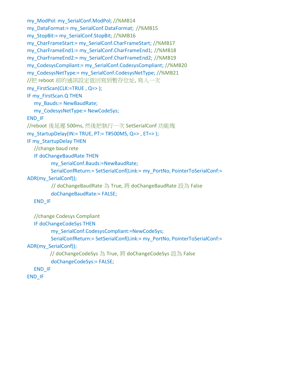```
my_ModPol: my_SerialConf.ModPol; //%MB14
my_DataFormat:= my_SerialConf.DataFormat; //%MB15
my_StopBit:= my_SerialConf.StopBit; //%MB16
my_CharFrameStart:= my_SerialConf.CharFrameStart; //%MB17
my_CharFrameEnd1:= my_SerialConf.CharFrameEnd1; //%MB18
my_CharFrameEnd2:= my_SerialConf.CharFrameEnd2; //%MB19
my_CodesysCompliant:= my_SerialConf.CodesysCompliant; //%MB20
my_CodesysNetType:= my_SerialConf.CodesysNetType; //%MB21
//把 reboot 前的通訊設定值回寫到暫存位址, 寫入一次
my_FirstScan(CLK:=TRUE, Q=> );
IF my_FirstScan.Q THEN
  my_Bauds:= NewBaudRate;
  my_CodesysNetType:= NewCodeSys;
END_IF
//reboot 後延遲 500ms, 然後把執行一次 SetSerialConf 功能塊
my_StartupDelay(IN:= TRUE, PT:= T#500MS, Q=>, ET=> );
IF my_StartupDelay THEN
  //change baud rete
  IF doChangeBaudRate THEN
         my_SerialConf.Bauds:=NewBaudRate;
         SerialConfReturn:= SetSerialConf(Link:= my_PortNo, PointerToSerialConf:=
ADR(my_SerialConf));
         // doChangeBaudRate 為 True, 將 doChangeBaudRate 設為 False
         doChangeBaudRate:= FALSE;
  END_IF
  //change Codesys Compliant
  IF doChangeCodeSys THEN
         my_SerialConf.CodesysCompliant:=NewCodeSys;
         SerialConfReturn:= SetSerialConf(Link:= my_PortNo, PointerToSerialConf:=
ADR(my_SerialConf));
         // doChangeCodeSys 為 True, 將 doChangeCodeSys 設為 False
         doChangeCodeSys:= FALSE;
  END_IF
END_IF
```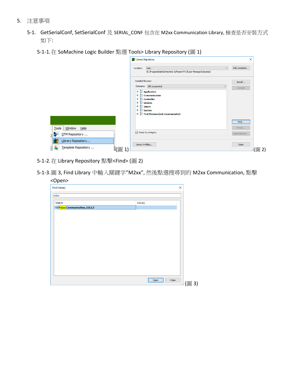- 5. 注意事項
	- 5-1. GetSerialConf, SetSerialConf 及 SERIAL\_CONF 包含在 M2xx Communication Library, 檢查是否安裝方式 如下:
		- 5-1-1.在 SoMachine Logic Builder 點選 Tools> Library Repository (圖 1)

|                                                                    | <b>D</b> Library Repository                                                                                                                                                                                                                        | $\times$                |
|--------------------------------------------------------------------|----------------------------------------------------------------------------------------------------------------------------------------------------------------------------------------------------------------------------------------------------|-------------------------|
|                                                                    | User<br>Location:<br>$\checkmark$<br>(C:\ProgramData\SoMachine Software\V4.3\User Managed Libraries)                                                                                                                                               | Edit Locations          |
|                                                                    | Installed libraries:<br>Company: (All companies)<br>$\checkmark$                                                                                                                                                                                   | Install                 |
|                                                                    | <b>E Application</b><br><b>E</b> Communication<br>$\mathbb{E}$ <b>Controller</b><br>$\mathbb{E} \cdot \frac{1}{\omega}$ Devices<br>$E = \frac{1}{10}$ Intern<br>$\blacksquare$ $\blacksquare$ System<br><b>E-8</b> Test Versions (not recommended) | Uninstall<br>Find       |
| <b>Tools</b><br>Window Help<br>DTM Repository<br><b>STAR</b><br>Ŧ. | Group by category                                                                                                                                                                                                                                  | Details<br>Dependencies |
| Library Repository<br>Template Repository                          | Library Profiles<br>(圖<br>$\mathbf{1}$                                                                                                                                                                                                             | Close                   |

5-1-2.在 Library Repository 點擊<Find> (圖 2)

5-1-3.圖 3, Find Library 中輸入關鍵字"M2xx", 然後點選搜尋到的 M2xx Communication, 點擊 <Open>

| л.<br><b>Find Library</b>                                          | $\times$      |
|--------------------------------------------------------------------|---------------|
| m2xx                                                               |               |
| Match                                                              | Library       |
| <sup>3</sup> <sup>50</sup> M <sub>2xx</sub> Communication, 2.0.2.3 |               |
|                                                                    |               |
|                                                                    |               |
|                                                                    |               |
|                                                                    |               |
|                                                                    |               |
|                                                                    |               |
|                                                                    |               |
|                                                                    |               |
|                                                                    |               |
|                                                                    |               |
|                                                                    |               |
|                                                                    | Close<br>Open |
|                                                                    | .i            |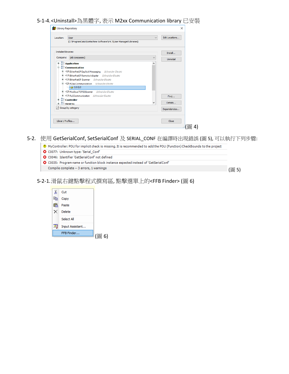### 5-1-4.<Uninstall>為黑體字, 表示 M2xx Communication library 已安裝

| Location:                   | User<br>(C:\ProgramData\SoMachine Software\V4.3\User Managed Libraries) | $\overline{\phantom{a}}$ | Edit Locations |
|-----------------------------|-------------------------------------------------------------------------|--------------------------|----------------|
| <b>Installed libraries:</b> |                                                                         |                          | Install        |
| Company:                    | (All companies)                                                         | $\checkmark$             | Uninstall      |
|                             | <b>E Application</b>                                                    | ^                        |                |
|                             | <b>Communication</b>                                                    |                          |                |
|                             | EtherNetIP Explicit Messaging Schneider Electric                        |                          |                |
|                             | <b>E</b> . • BetherNetIP Remote Adapter Schneider Electric              |                          |                |
|                             | E  . EtherNetIP Scanner Schneider Electric                              |                          |                |
|                             | □ ·· · M2xx Communication Schneider Electric                            |                          |                |
|                             | 502.3                                                                   |                          |                |
|                             | <b>E</b> + <sup>3</sup> ModbusTCPIOScanner Schneider Electric           |                          |                |
|                             | E  . PLCCommunication Schneider Electric                                |                          | Find           |
|                             | <b>E</b> Controller                                                     | v                        | Details        |
| <b>E Devices</b>            |                                                                         |                          |                |
|                             | $\sqrt{ }$ Group by category                                            |                          | Dependencies   |
|                             |                                                                         |                          |                |

## 5-2. 使用 GetSerialConf, SetSerialConf 及 SERIAL\_CONF 在編譯時出現錯誤 (圖 5), 可以執行下列步驟:

- MyController: POU for implicit check is missing. It is recommended to add the POU (Function) CheckBounds to the project O C0077: Unknown type: 'Serial\_Conf' C0046: Identifier 'GetSerialConf' not defined © C0035: Program name or function block instance expected instead of 'GetSerialConf' Compile complete -- 3 errors, 1 warnings (圖 5)
- 5-2-1.滑鼠右鍵點擊程式撰寫區, 點擊選單上的<FFB Finder> (圖 6)